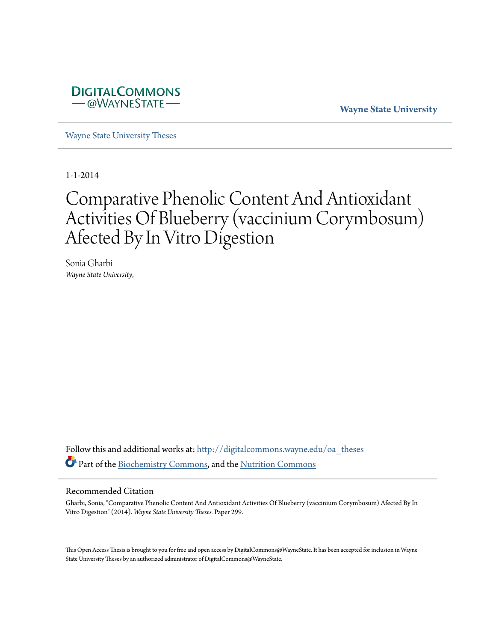

**Wayne State University**

[Wayne State University Theses](http://digitalcommons.wayne.edu/oa_theses?utm_source=digitalcommons.wayne.edu%2Foa_theses%2F299&utm_medium=PDF&utm_campaign=PDFCoverPages)

1-1-2014

# Comparative Phenolic Content And Antioxidant Activities Of Blueberry (vaccinium Corymbosum) Afected By In Vitro Digestion

Sonia Gharbi *Wayne State University*,

Follow this and additional works at: [http://digitalcommons.wayne.edu/oa\\_theses](http://digitalcommons.wayne.edu/oa_theses?utm_source=digitalcommons.wayne.edu%2Foa_theses%2F299&utm_medium=PDF&utm_campaign=PDFCoverPages) Part of the [Biochemistry Commons](http://network.bepress.com/hgg/discipline/2?utm_source=digitalcommons.wayne.edu%2Foa_theses%2F299&utm_medium=PDF&utm_campaign=PDFCoverPages), and the [Nutrition Commons](http://network.bepress.com/hgg/discipline/95?utm_source=digitalcommons.wayne.edu%2Foa_theses%2F299&utm_medium=PDF&utm_campaign=PDFCoverPages)

#### Recommended Citation

Gharbi, Sonia, "Comparative Phenolic Content And Antioxidant Activities Of Blueberry (vaccinium Corymbosum) Afected By In Vitro Digestion" (2014). *Wayne State University Theses.* Paper 299.

This Open Access Thesis is brought to you for free and open access by DigitalCommons@WayneState. It has been accepted for inclusion in Wayne State University Theses by an authorized administrator of DigitalCommons@WayneState.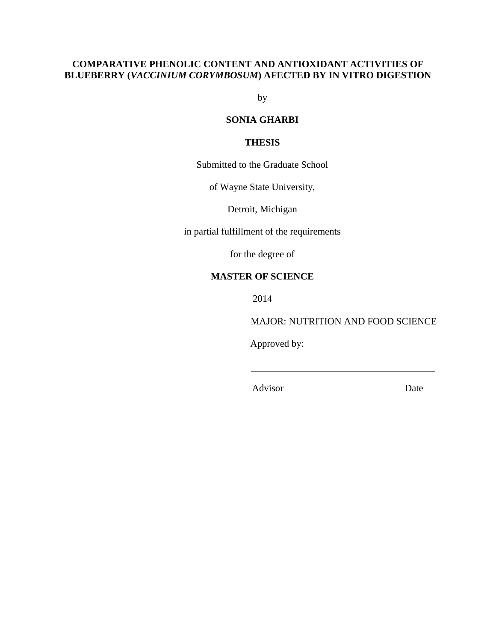# **COMPARATIVE PHENOLIC CONTENT AND ANTIOXIDANT ACTIVITIES OF BLUEBERRY (***VACCINIUM CORYMBOSUM***) AFECTED BY IN VITRO DIGESTION**

by

## **SONIA GHARBI**

#### **THESIS**

Submitted to the Graduate School

of Wayne State University,

Detroit, Michigan

in partial fulfillment of the requirements

for the degree of

#### **MASTER OF SCIENCE**

2014

MAJOR: NUTRITION AND FOOD SCIENCE

Approved by:

Advisor Date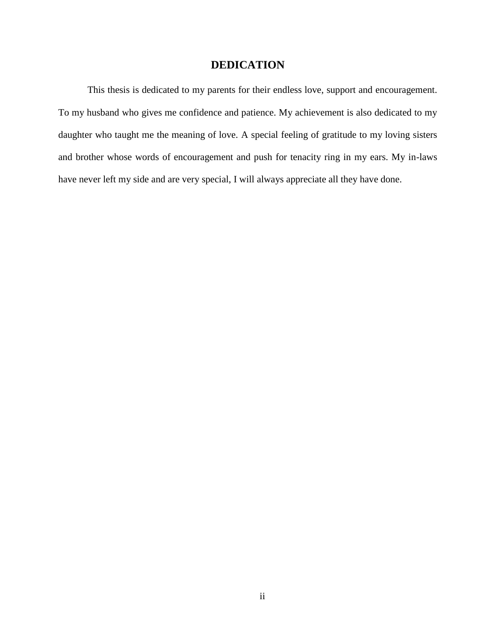# **DEDICATION**

<span id="page-2-0"></span>This thesis is dedicated to my parents for their endless love, support and encouragement. To my husband who gives me confidence and patience. My achievement is also dedicated to my daughter who taught me the meaning of love. A special feeling of gratitude to my loving sisters and brother whose words of encouragement and push for tenacity ring in my ears. My in-laws have never left my side and are very special, I will always appreciate all they have done.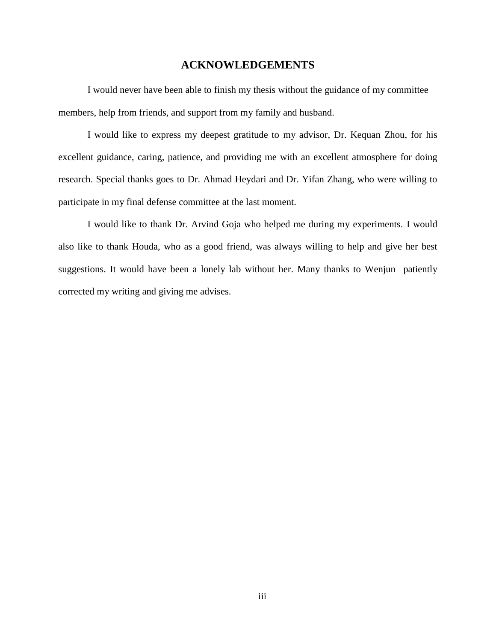## **ACKNOWLEDGEMENTS**

<span id="page-3-0"></span>I would never have been able to finish my thesis without the guidance of my committee members, help from friends, and support from my family and husband.

I would like to express my deepest gratitude to my advisor, Dr. Kequan Zhou, for his excellent guidance, caring, patience, and providing me with an excellent atmosphere for doing research. Special thanks goes to Dr. Ahmad Heydari and Dr. Yifan Zhang, who were willing to participate in my final defense committee at the last moment.

I would like to thank Dr. Arvind Goja who helped me during my experiments. I would also like to thank Houda, who as a good friend, was always willing to help and give her best suggestions. It would have been a lonely lab without her. Many thanks to Wenjun patiently corrected my writing and giving me advises.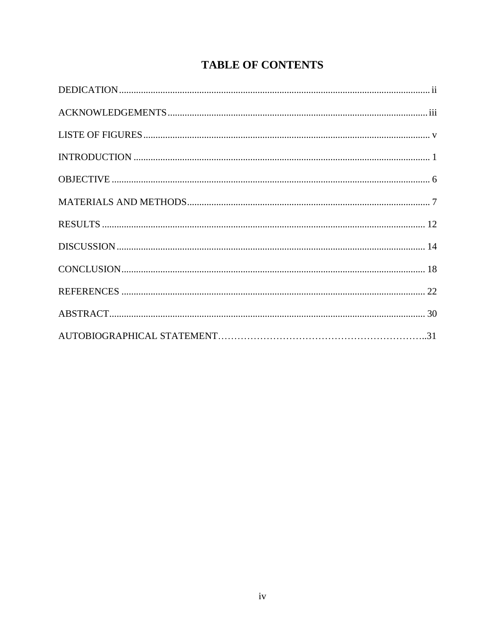# **TABLE OF CONTENTS**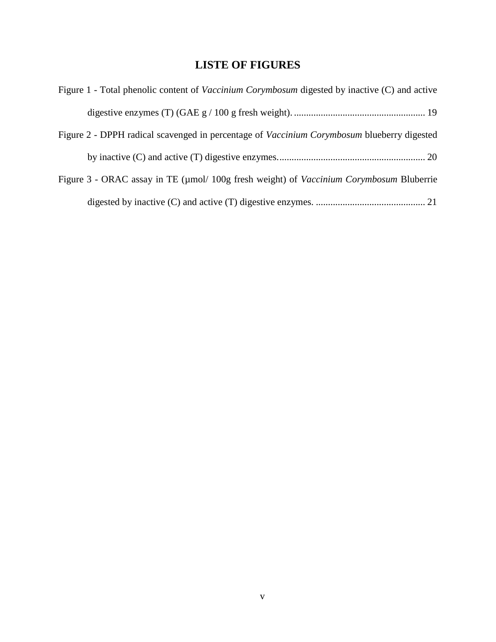# **LISTE OF FIGURES**

<span id="page-5-0"></span>

| Figure 1 - Total phenolic content of <i>Vaccinium Corymbosum</i> digested by inactive (C) and active |  |
|------------------------------------------------------------------------------------------------------|--|
|                                                                                                      |  |
| Figure 2 - DPPH radical scavenged in percentage of Vaccinium Corymbosum blueberry digested           |  |
|                                                                                                      |  |
| Figure 3 - ORAC assay in TE (µmol/ 100g fresh weight) of <i>Vaccinium Corymbosum</i> Bluberrie       |  |
|                                                                                                      |  |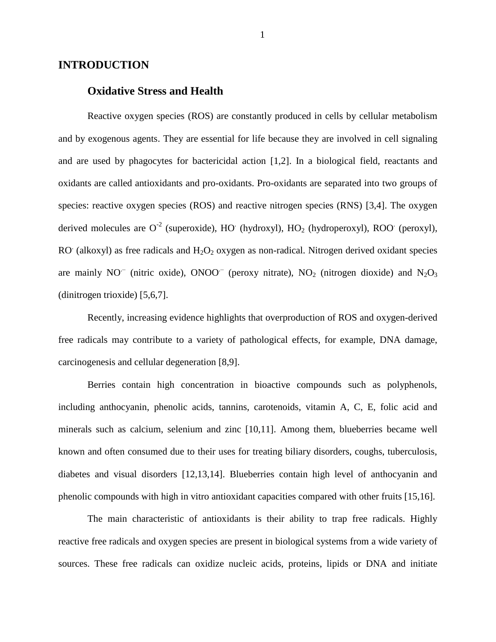#### <span id="page-6-0"></span>**INTRODUCTION**

## **Oxidative Stress and Health**

Reactive oxygen species (ROS) are constantly produced in cells by cellular metabolism and by exogenous agents. They are essential for life because they are involved in cell signaling and are used by phagocytes for bactericidal action [1,2]. In a biological field, reactants and oxidants are called antioxidants and pro-oxidants. Pro-oxidants are separated into two groups of species: reactive oxygen species (ROS) and reactive nitrogen species (RNS) [3,4]. The oxygen derived molecules are  $O^{-2}$  (superoxide), HO (hydroxyl), HO<sub>2</sub> (hydroperoxyl), ROO (peroxyl), RO (alkoxyl) as free radicals and  $H_2O_2$  oxygen as non-radical. Nitrogen derived oxidant species are mainly NO<sup>-</sup> (nitric oxide), ONOO<sup>-</sup> (peroxy nitrate), NO<sub>2</sub> (nitrogen dioxide) and N<sub>2</sub>O<sub>3</sub> (dinitrogen trioxide) [5,6,7].

Recently, increasing evidence highlights that overproduction of ROS and oxygen-derived free radicals may contribute to a variety of pathological effects, for example, DNA damage, carcinogenesis and cellular degeneration [8,9].

Berries contain high concentration in bioactive compounds such as polyphenols, including anthocyanin, phenolic acids, tannins, carotenoids, vitamin A, C, E, folic acid and minerals such as calcium, selenium and zinc [10,11]. Among them, blueberries became well known and often consumed due to their uses for treating biliary disorders, coughs, tuberculosis, diabetes and visual disorders [12,13,14]. Blueberries contain high level of anthocyanin and phenolic compounds with high in vitro antioxidant capacities compared with other fruits [15,16].

The main characteristic of antioxidants is their ability to trap free radicals. Highly reactive free radicals and oxygen species are present in biological systems from a wide variety of sources. These free radicals can oxidize nucleic acids, proteins, lipids or DNA and initiate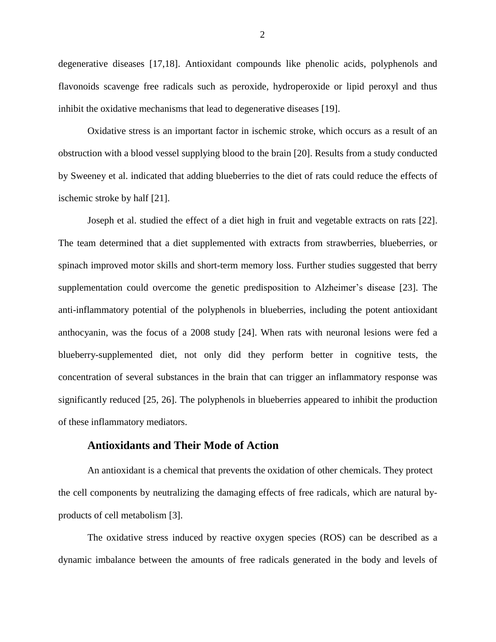degenerative diseases [17,18]. Antioxidant compounds like phenolic acids, polyphenols and flavonoids scavenge free radicals such as peroxide, hydroperoxide or lipid peroxyl and thus inhibit the oxidative mechanisms that lead to degenerative diseases [19].

Oxidative stress is an important factor in ischemic stroke, which occurs as a result of an obstruction with a blood vessel supplying blood to the brain [20]. Results from a study conducted by Sweeney et al. indicated that adding blueberries to the diet of rats could reduce the effects of ischemic stroke by half [21].

Joseph et al. studied the effect of a diet high in fruit and vegetable extracts on rats [22]. The team determined that a diet supplemented with extracts from strawberries, blueberries, or spinach improved motor skills and short-term memory loss. Further studies suggested that berry supplementation could overcome the genetic predisposition to Alzheimer's disease [23]. The anti-inflammatory potential of the polyphenols in blueberries, including the potent antioxidant anthocyanin, was the focus of a 2008 study [24]. When rats with neuronal lesions were fed a blueberry-supplemented diet, not only did they perform better in cognitive tests, the concentration of several substances in the brain that can trigger an inflammatory response was significantly reduced [25, 26]. The polyphenols in blueberries appeared to inhibit the production of these inflammatory mediators.

#### **Antioxidants and Their Mode of Action**

An antioxidant is a chemical that prevents the oxidation of other chemicals. They protect the cell components by neutralizing the damaging effects of free radicals, which are natural byproducts of cell metabolism [3].

The oxidative stress induced by reactive oxygen species (ROS) can be described as a dynamic imbalance between the amounts of free radicals generated in the body and levels of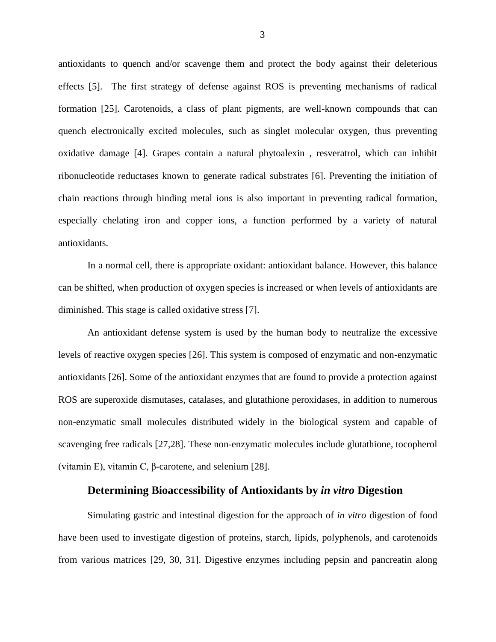antioxidants to quench and/or scavenge them and protect the body against their deleterious effects [5]. The first strategy of defense against ROS is preventing mechanisms of radical formation [25]. Carotenoids, a class of plant pigments, are well-known compounds that can quench electronically excited molecules, such as singlet molecular oxygen, thus preventing oxidative damage [4]. Grapes contain a natural phytoalexin , resveratrol, which can inhibit ribonucleotide reductases known to generate radical substrates [6]. Preventing the initiation of chain reactions through binding metal ions is also important in preventing radical formation, especially chelating iron and copper ions, a function performed by a variety of natural antioxidants.

In a normal cell, there is appropriate oxidant: antioxidant balance. However, this balance can be shifted, when production of oxygen species is increased or when levels of antioxidants are diminished. This stage is called oxidative stress [7].

An antioxidant defense system is used by the human body to neutralize the excessive levels of reactive oxygen species [26]. This system is composed of enzymatic and non-enzymatic antioxidants [26]. Some of the antioxidant enzymes that are found to provide a protection against ROS are superoxide dismutases, catalases, and glutathione peroxidases, in addition to numerous non-enzymatic small molecules distributed widely in the biological system and capable of scavenging free radicals [27,28]. These non-enzymatic molecules include glutathione, tocopherol (vitamin E), vitamin C, β-carotene, and selenium [28].

# **Determining Bioaccessibility of Antioxidants by** *in vitro* **Digestion**

Simulating gastric and intestinal digestion for the approach of *in vitro* digestion of food have been used to investigate digestion of proteins, starch, lipids, polyphenols, and carotenoids from various matrices [29, 30, 31]. Digestive enzymes including pepsin and pancreatin along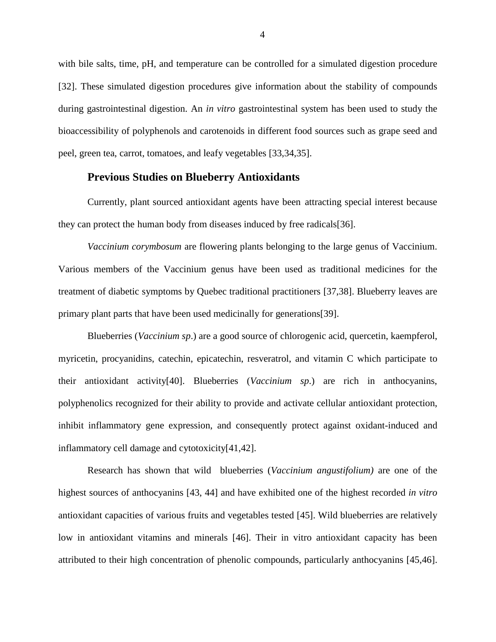with bile salts, time, pH, and temperature can be controlled for a simulated digestion procedure [32]. These simulated digestion procedures give information about the stability of compounds during gastrointestinal digestion. An *in vitro* gastrointestinal system has been used to study the bioaccessibility of polyphenols and carotenoids in different food sources such as grape seed and peel, green tea, carrot, tomatoes, and leafy vegetables [33,34,35].

#### **Previous Studies on Blueberry Antioxidants**

Currently, plant sourced antioxidant agents have been attracting special interest because they can protect the human body from diseases induced by free radicals[36].

*Vaccinium corymbosum* are flowering plants belonging to the large genus of Vaccinium. Various members of the Vaccinium genus have been used as traditional medicines for the treatment of diabetic symptoms by Quebec traditional practitioners [37,38]. Blueberry leaves are primary plant parts that have been used medicinally for generations[39].

Blueberries (*Vaccinium sp*.) are a good source of chlorogenic acid, quercetin, kaempferol, myricetin, procyanidins, catechin, epicatechin, resveratrol, and vitamin C which participate to their antioxidant activity[40]. Blueberries (*Vaccinium sp*.) are rich in anthocyanins, polyphenolics recognized for their ability to provide and activate cellular antioxidant protection, inhibit inflammatory gene expression, and consequently protect against oxidant-induced and inflammatory cell damage and cytotoxicity[41,42].

Research has shown that wild blueberries (*Vaccinium angustifolium)* are one of the highest sources of anthocyanins [43, 44] and have exhibited one of the highest recorded *in vitro* antioxidant capacities of various fruits and vegetables tested [45]. Wild blueberries are relatively low in antioxidant vitamins and minerals [46]. Their in vitro antioxidant capacity has been attributed to their high concentration of phenolic compounds, particularly anthocyanins [45,46].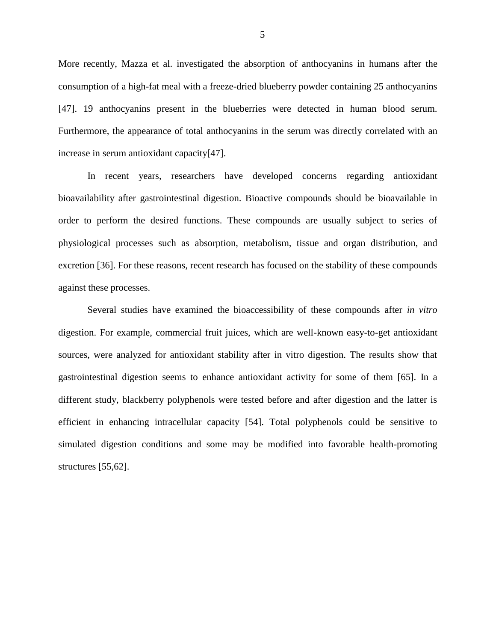More recently, Mazza et al. investigated the absorption of anthocyanins in humans after the consumption of a high-fat meal with a freeze-dried blueberry powder containing 25 anthocyanins [47]. 19 anthocyanins present in the blueberries were detected in human blood serum. Furthermore, the appearance of total anthocyanins in the serum was directly correlated with an increase in serum antioxidant capacity[47].

In recent years, researchers have developed concerns regarding antioxidant bioavailability after gastrointestinal digestion. Bioactive compounds should be bioavailable in order to perform the desired functions. These compounds are usually subject to series of physiological processes such as absorption, metabolism, tissue and organ distribution, and excretion [36]. For these reasons, recent research has focused on the stability of these compounds against these processes.

Several studies have examined the bioaccessibility of these compounds after *in vitro* digestion. For example, commercial fruit juices, which are well-known easy-to-get antioxidant sources, were analyzed for antioxidant stability after in vitro digestion. The results show that gastrointestinal digestion seems to enhance antioxidant activity for some of them [65]. In a different study, blackberry polyphenols were tested before and after digestion and the latter is efficient in enhancing intracellular capacity [54]. Total polyphenols could be sensitive to simulated digestion conditions and some may be modified into favorable health-promoting structures [55,62].

5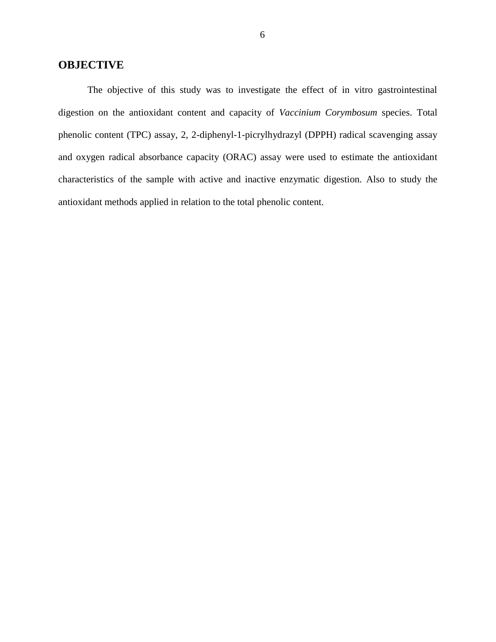# **OBJECTIVE**

The objective of this study was to investigate the effect of in vitro gastrointestinal digestion on the antioxidant content and capacity of *Vaccinium Corymbosum* species. Total phenolic content (TPC) assay, 2, 2-diphenyl-1-picrylhydrazyl (DPPH) radical scavenging assay and oxygen radical absorbance capacity (ORAC) assay were used to estimate the antioxidant characteristics of the sample with active and inactive enzymatic digestion. Also to study the antioxidant methods applied in relation to the total phenolic content.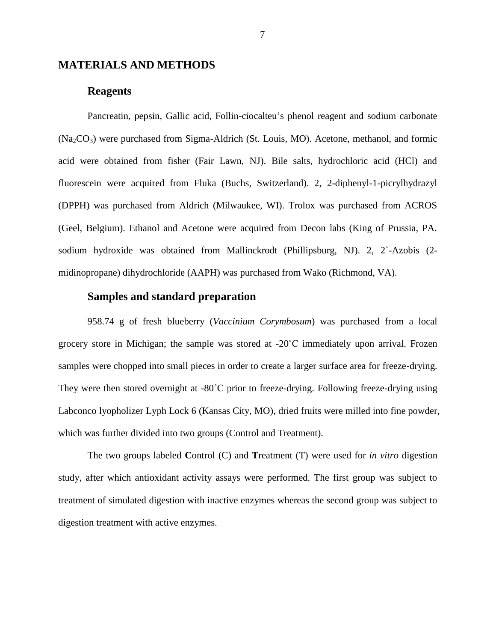#### <span id="page-12-0"></span>**MATERIALS AND METHODS**

#### **Reagents**

Pancreatin, pepsin, Gallic acid, Follin-ciocalteu's phenol reagent and sodium carbonate  $(Na<sub>2</sub>CO<sub>3</sub>)$  were purchased from Sigma-Aldrich (St. Louis, MO). Acetone, methanol, and formic acid were obtained from fisher (Fair Lawn, NJ). Bile salts, hydrochloric acid (HCl) and fluorescein were acquired from Fluka (Buchs, Switzerland). 2, 2-diphenyl-1-picrylhydrazyl (DPPH) was purchased from Aldrich (Milwaukee, WI). Trolox was purchased from ACROS (Geel, Belgium). Ethanol and Acetone were acquired from Decon labs (King of Prussia, PA. sodium hydroxide was obtained from Mallinckrodt (Phillipsburg, NJ). 2, 2`-Azobis (2 midinopropane) dihydrochloride (AAPH) was purchased from Wako (Richmond, VA).

# **Samples and standard preparation**

958.74 g of fresh blueberry (*Vaccinium Corymbosum*) was purchased from a local grocery store in Michigan; the sample was stored at  $-20^{\circ}$ C immediately upon arrival. Frozen samples were chopped into small pieces in order to create a larger surface area for freeze-drying. They were then stored overnight at -80<sup>°</sup>C prior to freeze-drying. Following freeze-drying using Labconco lyopholizer Lyph Lock 6 (Kansas City, MO), dried fruits were milled into fine powder, which was further divided into two groups (Control and Treatment).

The two groups labeled **C**ontrol (C) and **T**reatment (T) were used for *in vitro* digestion study, after which antioxidant activity assays were performed. The first group was subject to treatment of simulated digestion with inactive enzymes whereas the second group was subject to digestion treatment with active enzymes.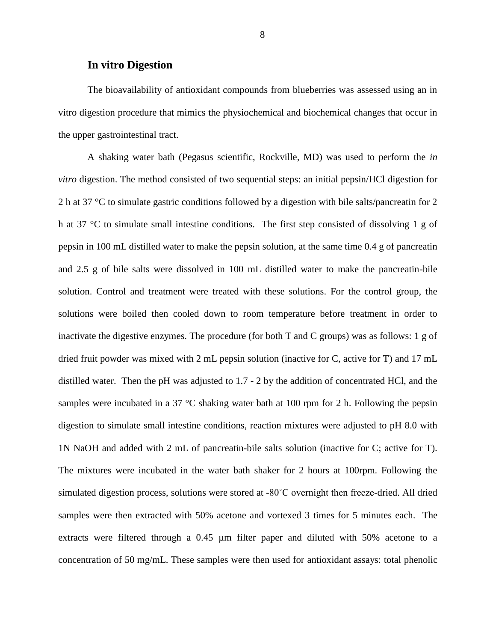#### **In vitro Digestion**

The bioavailability of antioxidant compounds from blueberries was assessed using an in vitro digestion procedure that mimics the physiochemical and biochemical changes that occur in the upper gastrointestinal tract.

A shaking water bath (Pegasus scientific, Rockville, MD) was used to perform the *in vitro* digestion. The method consisted of two sequential steps: an initial pepsin/HCl digestion for 2 h at 37 °C to simulate gastric conditions followed by a digestion with bile salts/pancreatin for 2 h at 37 °C to simulate small intestine conditions. The first step consisted of dissolving 1 g of pepsin in 100 mL distilled water to make the pepsin solution, at the same time 0.4 g of pancreatin and 2.5 g of bile salts were dissolved in 100 mL distilled water to make the pancreatin-bile solution. Control and treatment were treated with these solutions. For the control group, the solutions were boiled then cooled down to room temperature before treatment in order to inactivate the digestive enzymes. The procedure (for both T and C groups) was as follows: 1 g of dried fruit powder was mixed with 2 mL pepsin solution (inactive for C, active for T) and 17 mL distilled water. Then the pH was adjusted to 1.7 - 2 by the addition of concentrated HCl, and the samples were incubated in a 37 °C shaking water bath at 100 rpm for 2 h. Following the pepsin digestion to simulate small intestine conditions, reaction mixtures were adjusted to pH 8.0 with 1N NaOH and added with 2 mL of pancreatin-bile salts solution (inactive for C; active for T). The mixtures were incubated in the water bath shaker for 2 hours at 100rpm. Following the simulated digestion process, solutions were stored at -80˚C overnight then freeze-dried. All dried samples were then extracted with 50% acetone and vortexed 3 times for 5 minutes each. The extracts were filtered through a 0.45 µm filter paper and diluted with 50% acetone to a concentration of 50 mg/mL. These samples were then used for antioxidant assays: total phenolic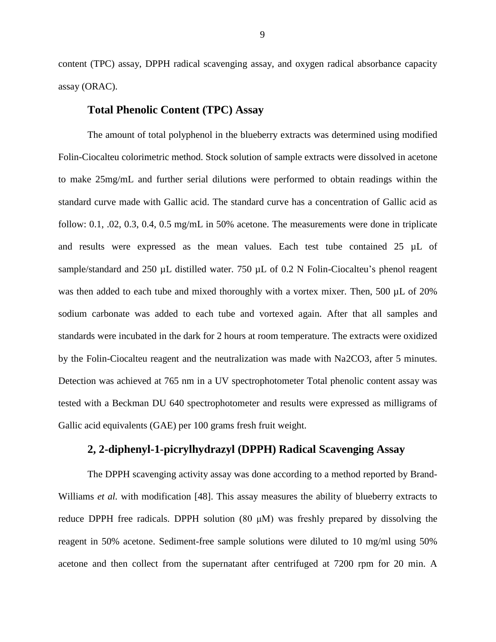content (TPC) assay, DPPH radical scavenging assay, and oxygen radical absorbance capacity assay (ORAC).

#### **Total Phenolic Content (TPC) Assay**

The amount of total polyphenol in the blueberry extracts was determined using modified Folin-Ciocalteu colorimetric method. Stock solution of sample extracts were dissolved in acetone to make 25mg/mL and further serial dilutions were performed to obtain readings within the standard curve made with Gallic acid. The standard curve has a concentration of Gallic acid as follow: 0.1, .02, 0.3, 0.4, 0.5 mg/mL in 50% acetone. The measurements were done in triplicate and results were expressed as the mean values. Each test tube contained 25 µL of sample/standard and 250 µL distilled water. 750 µL of 0.2 N Folin-Ciocalteu's phenol reagent was then added to each tube and mixed thoroughly with a vortex mixer. Then, 500 µL of 20% sodium carbonate was added to each tube and vortexed again. After that all samples and standards were incubated in the dark for 2 hours at room temperature. The extracts were oxidized by the Folin-Ciocalteu reagent and the neutralization was made with Na2CO3, after 5 minutes. Detection was achieved at 765 nm in a UV spectrophotometer Total phenolic content assay was tested with a Beckman DU 640 spectrophotometer and results were expressed as milligrams of Gallic acid equivalents (GAE) per 100 grams fresh fruit weight.

#### **2, 2-diphenyl-1-picrylhydrazyl (DPPH) Radical Scavenging Assay**

The DPPH scavenging activity assay was done according to a method reported by Brand-Williams *et al.* with modification [48]. This assay measures the ability of blueberry extracts to reduce DPPH free radicals. DPPH solution (80 μM) was freshly prepared by dissolving the reagent in 50% acetone. Sediment-free sample solutions were diluted to 10 mg/ml using 50% acetone and then collect from the supernatant after centrifuged at 7200 rpm for 20 min. A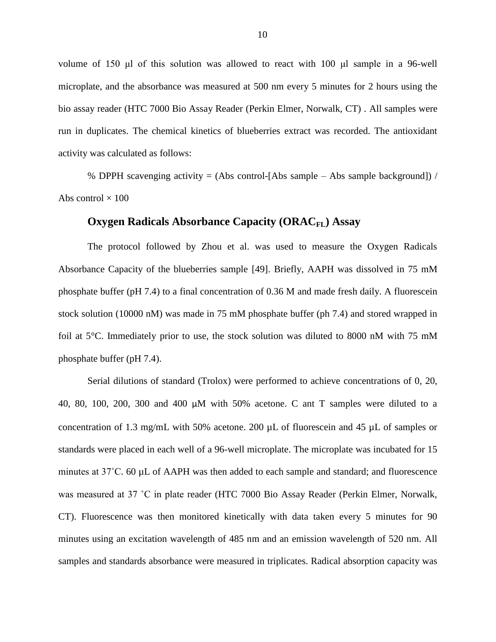volume of 150 μl of this solution was allowed to react with 100 μl sample in a 96-well microplate, and the absorbance was measured at 500 nm every 5 minutes for 2 hours using the bio assay reader (HTC 7000 Bio Assay Reader (Perkin Elmer, Norwalk, CT) . All samples were run in duplicates. The chemical kinetics of blueberries extract was recorded. The antioxidant activity was calculated as follows:

% DPPH scavenging activity = (Abs control-[Abs sample – Abs sample background]) / Abs control  $\times$  100

# **Oxygen Radicals Absorbance Capacity (ORAC<sub>FL</sub>) Assay**

The protocol followed by Zhou et al. was used to measure the Oxygen Radicals Absorbance Capacity of the blueberries sample [49]. Briefly, AAPH was dissolved in 75 mM phosphate buffer (pH 7.4) to a final concentration of 0.36 M and made fresh daily. A fluorescein stock solution (10000 nM) was made in 75 mM phosphate buffer (ph 7.4) and stored wrapped in foil at 5°C. Immediately prior to use, the stock solution was diluted to 8000 nM with 75 mM phosphate buffer (pH 7.4).

Serial dilutions of standard (Trolox) were performed to achieve concentrations of 0, 20, 40, 80, 100, 200, 300 and 400 µM with 50% acetone. C ant T samples were diluted to a concentration of 1.3 mg/mL with 50% acetone. 200  $\mu$ L of fluorescein and 45  $\mu$ L of samples or standards were placed in each well of a 96-well microplate. The microplate was incubated for 15 minutes at 37°C. 60 µL of AAPH was then added to each sample and standard; and fluorescence was measured at 37 ˚C in plate reader (HTC 7000 Bio Assay Reader (Perkin Elmer, Norwalk, CT). Fluorescence was then monitored kinetically with data taken every 5 minutes for 90 minutes using an excitation wavelength of 485 nm and an emission wavelength of 520 nm. All samples and standards absorbance were measured in triplicates. Radical absorption capacity was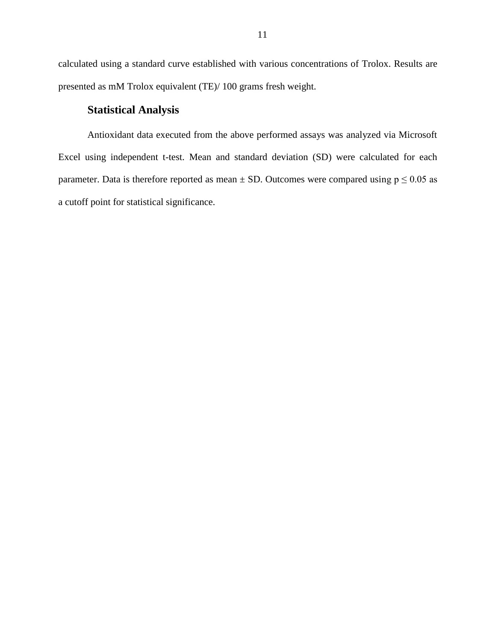calculated using a standard curve established with various concentrations of Trolox. Results are presented as mM Trolox equivalent (TE)/ 100 grams fresh weight.

# **Statistical Analysis**

Antioxidant data executed from the above performed assays was analyzed via Microsoft Excel using independent t-test. Mean and standard deviation (SD) were calculated for each parameter. Data is therefore reported as mean  $\pm$  SD. Outcomes were compared using  $p \le 0.05$  as a cutoff point for statistical significance.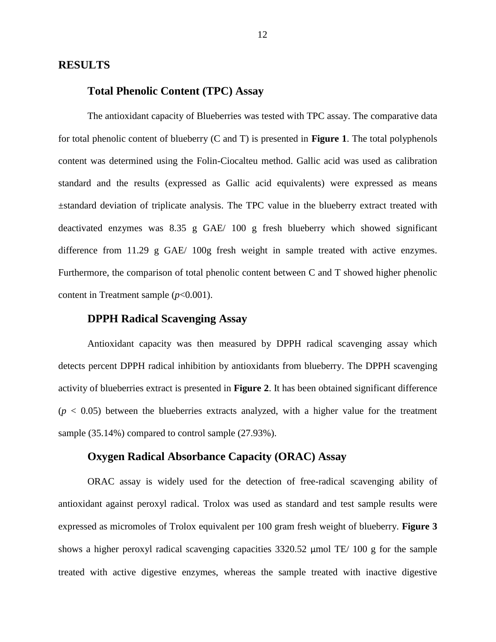#### **RESULTS**

# **Total Phenolic Content (TPC) Assay**

The antioxidant capacity of Blueberries was tested with TPC assay. The comparative data for total phenolic content of blueberry (C and T) is presented in **Figure 1**. The total polyphenols content was determined using the Folin-Ciocalteu method. Gallic acid was used as calibration standard and the results (expressed as Gallic acid equivalents) were expressed as means ±standard deviation of triplicate analysis. The TPC value in the blueberry extract treated with deactivated enzymes was 8.35 g GAE/ 100 g fresh blueberry which showed significant difference from 11.29 g GAE/ 100g fresh weight in sample treated with active enzymes. Furthermore, the comparison of total phenolic content between C and T showed higher phenolic content in Treatment sample (*p*<0.001).

# **DPPH Radical Scavenging Assay**

Antioxidant capacity was then measured by DPPH radical scavenging assay which detects percent DPPH radical inhibition by antioxidants from blueberry. The DPPH scavenging activity of blueberries extract is presented in **[Figure 2](#page-25-0)**. It has been obtained significant difference  $(p < 0.05)$  between the blueberries extracts analyzed, with a higher value for the treatment sample (35.14%) compared to control sample (27.93%).

#### **Oxygen Radical Absorbance Capacity (ORAC) Assay**

ORAC assay is widely used for the detection of free-radical scavenging ability of antioxidant against peroxyl radical. Trolox was used as standard and test sample results were expressed as micromoles of Trolox equivalent per 100 gram fresh weight of blueberry. **[Figure 3](#page-26-0)** shows a higher peroxyl radical scavenging capacities 3320.52 µmol TE/ 100 g for the sample treated with active digestive enzymes, whereas the sample treated with inactive digestive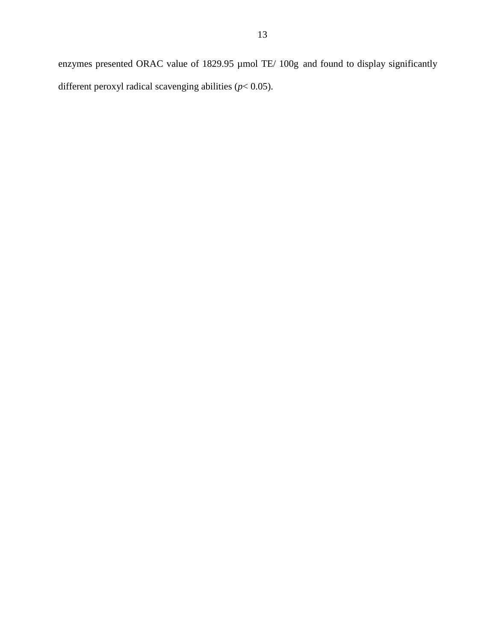enzymes presented ORAC value of 1829.95 µmol TE/ 100g and found to display significantly different peroxyl radical scavenging abilities (*p*< 0.05).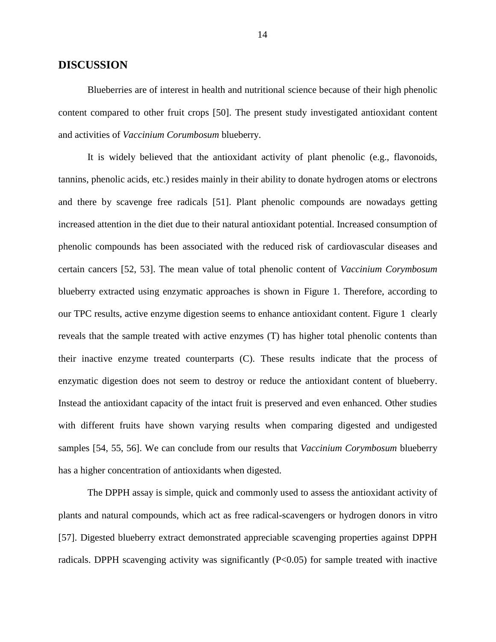#### **DISCUSSION**

Blueberries are of interest in health and nutritional science because of their high phenolic content compared to other fruit crops [50]. The present study investigated antioxidant content and activities of *Vaccinium Corumbosum* blueberry.

It is widely believed that the antioxidant activity of plant phenolic (e.g., flavonoids, tannins, phenolic acids, etc.) resides mainly in their ability to donate hydrogen atoms or electrons and there by scavenge free radicals [51]. Plant phenolic compounds are nowadays getting increased attention in the diet due to their natural antioxidant potential. Increased consumption of phenolic compounds has been associated with the reduced risk of cardiovascular diseases and certain cancers [52, 53]. The mean value of total phenolic content of *Vaccinium Corymbosum* blueberry extracted using enzymatic approaches is shown in Figure 1. Therefore, according to our TPC results, active enzyme digestion seems to enhance antioxidant content. Figure 1 clearly reveals that the sample treated with active enzymes (T) has higher total phenolic contents than their inactive enzyme treated counterparts (C). These results indicate that the process of enzymatic digestion does not seem to destroy or reduce the antioxidant content of blueberry. Instead the antioxidant capacity of the intact fruit is preserved and even enhanced. Other studies with different fruits have shown varying results when comparing digested and undigested samples [54, 55, 56]. We can conclude from our results that *Vaccinium Corymbosum* blueberry has a higher concentration of antioxidants when digested.

The DPPH assay is simple, quick and commonly used to assess the antioxidant activity of plants and natural compounds, which act as free radical-scavengers or hydrogen donors in vitro [57]. Digested blueberry extract demonstrated appreciable scavenging properties against DPPH radicals. DPPH scavenging activity was significantly (P<0.05) for sample treated with inactive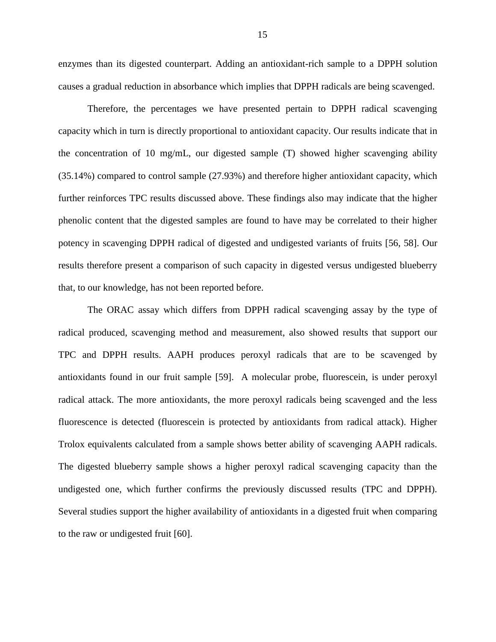enzymes than its digested counterpart. Adding an antioxidant-rich sample to a DPPH solution causes a gradual reduction in absorbance which implies that DPPH radicals are being scavenged.

Therefore, the percentages we have presented pertain to DPPH radical scavenging capacity which in turn is directly proportional to antioxidant capacity. Our results indicate that in the concentration of 10 mg/mL, our digested sample (T) showed higher scavenging ability (35.14%) compared to control sample (27.93%) and therefore higher antioxidant capacity, which further reinforces TPC results discussed above. These findings also may indicate that the higher phenolic content that the digested samples are found to have may be correlated to their higher potency in scavenging DPPH radical of digested and undigested variants of fruits [56, 58]. Our results therefore present a comparison of such capacity in digested versus undigested blueberry that, to our knowledge, has not been reported before.

The ORAC assay which differs from DPPH radical scavenging assay by the type of radical produced, scavenging method and measurement, also showed results that support our TPC and DPPH results. AAPH produces peroxyl radicals that are to be scavenged by antioxidants found in our fruit sample [59]. A molecular probe, fluorescein, is under peroxyl radical attack. The more antioxidants, the more peroxyl radicals being scavenged and the less fluorescence is detected (fluorescein is protected by antioxidants from radical attack). Higher Trolox equivalents calculated from a sample shows better ability of scavenging AAPH radicals. The digested blueberry sample shows a higher peroxyl radical scavenging capacity than the undigested one, which further confirms the previously discussed results (TPC and DPPH). Several studies support the higher availability of antioxidants in a digested fruit when comparing to the raw or undigested fruit [60].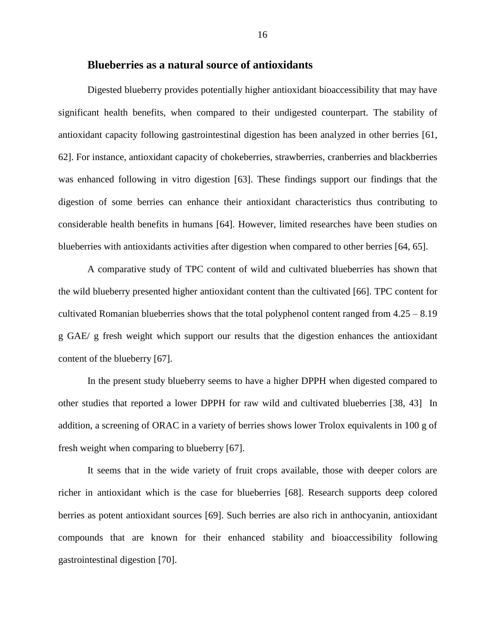#### **Blueberries as a natural source of antioxidants**

Digested blueberry provides potentially higher antioxidant bioaccessibility that may have significant health benefits, when compared to their undigested counterpart. The stability of antioxidant capacity following gastrointestinal digestion has been analyzed in other berries [61, 62]. For instance, antioxidant capacity of chokeberries, strawberries, cranberries and blackberries was enhanced following in vitro digestion [63]. These findings support our findings that the digestion of some berries can enhance their antioxidant characteristics thus contributing to considerable health benefits in humans [64]. However, limited researches have been studies on blueberries with antioxidants activities after digestion when compared to other berries [64, 65].

A comparative study of TPC content of wild and cultivated blueberries has shown that the wild blueberry presented higher antioxidant content than the cultivated [66]. TPC content for cultivated Romanian blueberries shows that the total polyphenol content ranged from 4.25 – 8.19 g GAE/ g fresh weight which support our results that the digestion enhances the antioxidant content of the blueberry [67].

In the present study blueberry seems to have a higher DPPH when digested compared to other studies that reported a lower DPPH for raw wild and cultivated blueberries [38, 43] In addition, a screening of ORAC in a variety of berries shows lower Trolox equivalents in 100 g of fresh weight when comparing to blueberry [67].

It seems that in the wide variety of fruit crops available, those with deeper colors are richer in antioxidant which is the case for blueberries [68]. Research supports deep colored berries as potent antioxidant sources [69]. Such berries are also rich in anthocyanin, antioxidant compounds that are known for their enhanced stability and bioaccessibility following gastrointestinal digestion [70].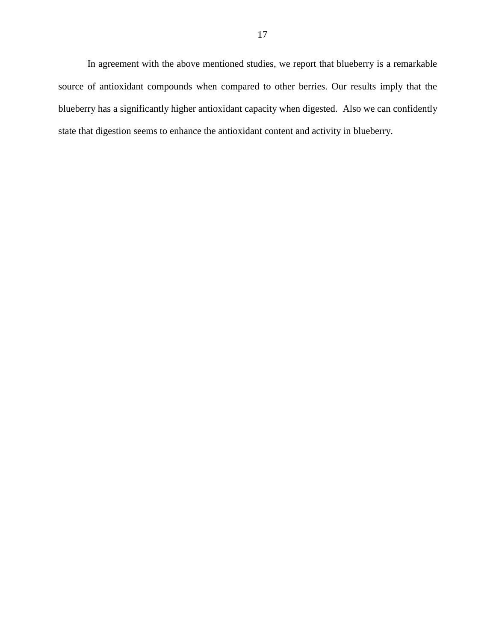In agreement with the above mentioned studies, we report that blueberry is a remarkable source of antioxidant compounds when compared to other berries. Our results imply that the blueberry has a significantly higher antioxidant capacity when digested. Also we can confidently state that digestion seems to enhance the antioxidant content and activity in blueberry.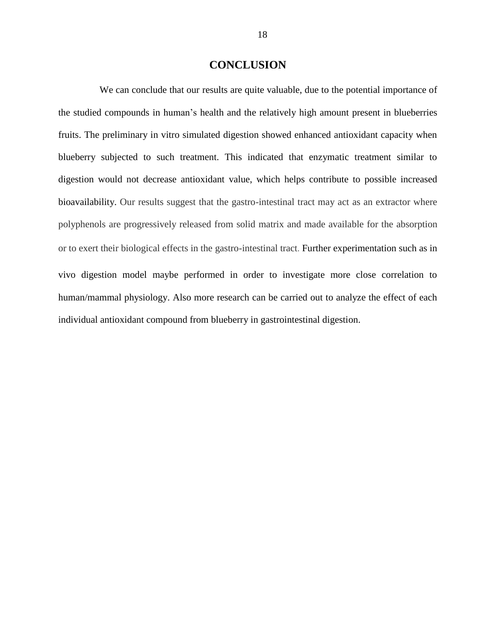#### **CONCLUSION**

 We can conclude that our results are quite valuable, due to the potential importance of the studied compounds in human's health and the relatively high amount present in blueberries fruits. The preliminary in vitro simulated digestion showed enhanced antioxidant capacity when blueberry subjected to such treatment. This indicated that enzymatic treatment similar to digestion would not decrease antioxidant value, which helps contribute to possible increased bioavailability. Our results suggest that the gastro-intestinal tract may act as an extractor where polyphenols are progressively released from solid matrix and made available for the absorption or to exert their biological effects in the gastro-intestinal tract. Further experimentation such as in vivo digestion model maybe performed in order to investigate more close correlation to human/mammal physiology. Also more research can be carried out to analyze the effect of each individual antioxidant compound from blueberry in gastrointestinal digestion.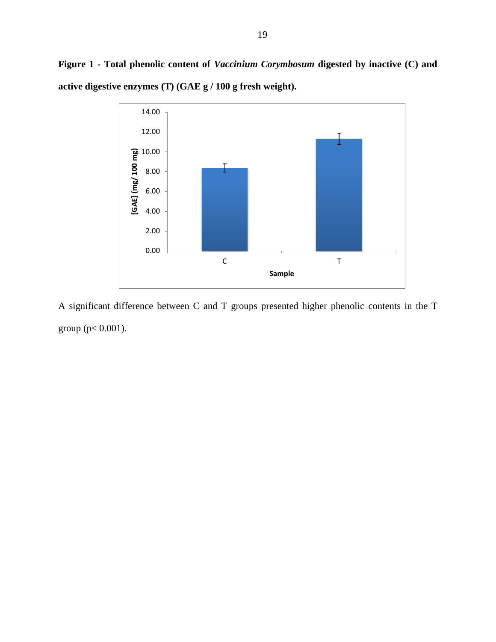**Figure 1 - Total phenolic content of** *Vaccinium Corymbosum* **digested by inactive (C) and active digestive enzymes (T) (GAE g / 100 g fresh weight).**



A significant difference between C and T groups presented higher phenolic contents in the T group (p< 0.001).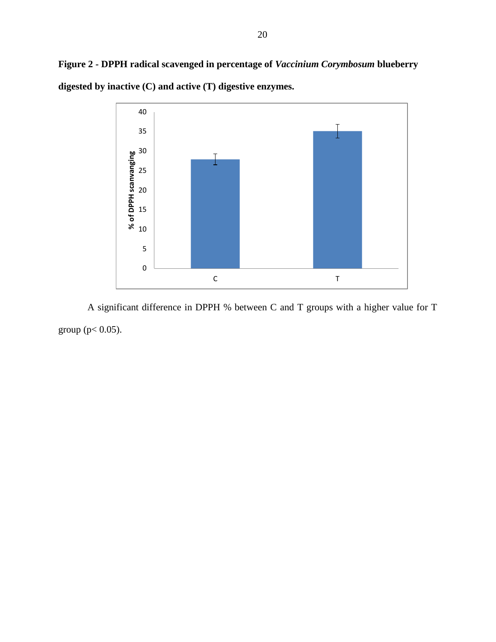<span id="page-25-0"></span>



A significant difference in DPPH % between C and T groups with a higher value for T group ( $p < 0.05$ ).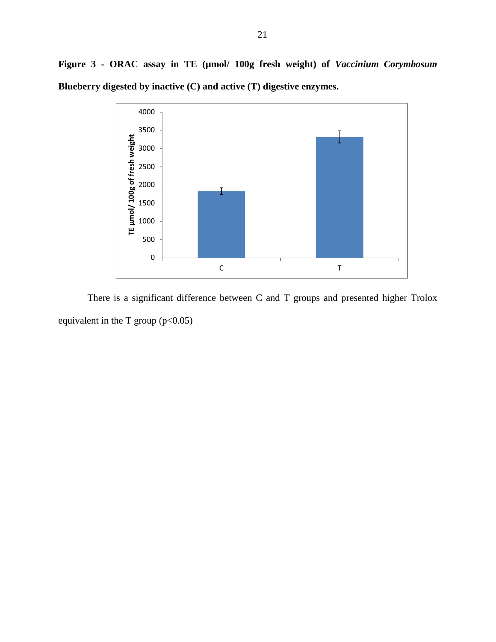<span id="page-26-0"></span>**Figure 3 - ORAC assay in TE (µmol/ 100g fresh weight) of** *Vaccinium Corymbosum* **Blueberry digested by inactive (C) and active (T) digestive enzymes.**



There is a significant difference between C and T groups and presented higher Trolox equivalent in the T group  $(p<0.05)$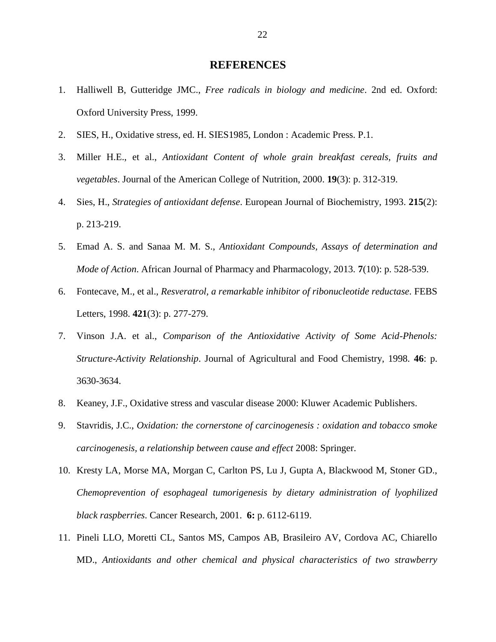#### **REFERENCES**

- 1. Halliwell B, Gutteridge JMC., *Free radicals in biology and medicine*. 2nd ed. Oxford: Oxford University Press, 1999.
- 2. SIES, H., Oxidative stress, ed. H. SIES1985, London : Academic Press. P.1.
- 3. Miller H.E., et al., *Antioxidant Content of whole grain breakfast cereals, fruits and vegetables*. Journal of the American College of Nutrition, 2000. **19**(3): p. 312-319.
- 4. Sies, H., *Strategies of antioxidant defense*. European Journal of Biochemistry, 1993. **215**(2): p. 213-219.
- 5. Emad A. S. and Sanaa M. M. S., *Antioxidant Compounds, Assays of determination and Mode of Action*. African Journal of Pharmacy and Pharmacology, 2013. **7**(10): p. 528-539.
- 6. Fontecave, M., et al., *Resveratrol, a remarkable inhibitor of ribonucleotide reductase*. FEBS Letters, 1998. **421**(3): p. 277-279.
- 7. Vinson J.A. et al., *Comparison of the Antioxidative Activity of Some Acid-Phenols: Structure-Activity Relationship*. Journal of Agricultural and Food Chemistry, 1998. **46**: p. 3630-3634.
- 8. Keaney, J.F., Oxidative stress and vascular disease 2000: Kluwer Academic Publishers.
- 9. Stavridis, J.C., *Oxidation: the cornerstone of carcinogenesis : oxidation and tobacco smoke carcinogenesis, a relationship between cause and effect* 2008: Springer.
- 10. Kresty LA, Morse MA, Morgan C, Carlton PS, Lu J, Gupta A, Blackwood M, Stoner GD., *Chemoprevention of esophageal tumorigenesis by dietary administration of lyophilized black raspberries*. Cancer Research, 2001. **6:** p. 6112-6119.
- 11. Pineli LLO, Moretti CL, Santos MS, Campos AB, Brasileiro AV, Cordova AC, Chiarello MD., *Antioxidants and other chemical and physical characteristics of two strawberry*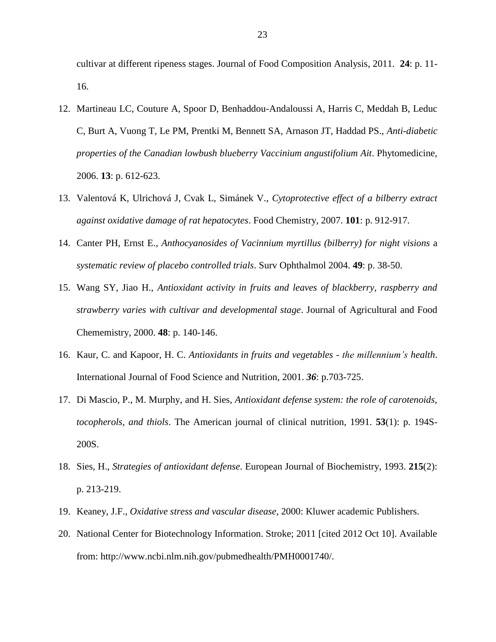cultivar at different ripeness stages. Journal of Food Composition Analysis, 2011. **24**: p. 11- 16.

- 12. Martineau LC, Couture A, Spoor D, Benhaddou-Andaloussi A, Harris C, Meddah B, Leduc C, Burt A, Vuong T, Le PM, Prentki M, Bennett SA, Arnason JT, Haddad PS., *Anti-diabetic properties of the Canadian lowbush blueberry Vaccinium angustifolium Ait*. Phytomedicine, 2006. **13**: p. 612-623.
- 13. Valentová K, Ulrichová J, Cvak L, Simánek V., *Cytoprotective effect of a bilberry extract against oxidative damage of rat hepatocytes*. Food Chemistry, 2007. **101**: p. 912-917.
- 14. Canter PH, Ernst E., *Anthocyanosides of Vacinnium myrtillus (bilberry) for night visions* a *systematic review of placebo controlled trials*. Surv Ophthalmol 2004. **49**: p. 38-50.
- 15. Wang SY, Jiao H., *Antioxidant activity in fruits and leaves of blackberry, raspberry and strawberry varies with cultivar and developmental stage*. Journal of Agricultural and Food Chememistry, 2000. **48**: p. 140-146.
- 16. Kaur, C. and Kapoor, H. C. *Antioxidants in fruits and vegetables - the millennium's health*. International Journal of Food Science and Nutrition, 2001. *36*: p.703-725.
- 17. Di Mascio, P., M. Murphy, and H. Sies, *Antioxidant defense system: the role of carotenoids, tocopherols, and thiols*. The American journal of clinical nutrition, 1991. **53**(1): p. 194S-200S.
- 18. Sies, H., *Strategies of antioxidant defense*. European Journal of Biochemistry, 1993. **215**(2): p. 213-219.
- 19. Keaney, J.F., *Oxidative stress and vascular disease*, 2000: Kluwer academic Publishers.
- 20. National Center for Biotechnology Information. Stroke; 2011 [cited 2012 Oct 10]. Available from: http://www.ncbi.nlm.nih.gov/pubmedhealth/PMH0001740/.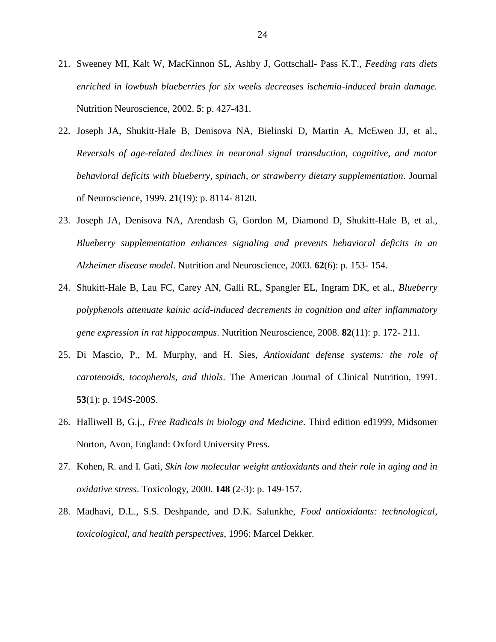- 21. Sweeney MI, Kalt W, MacKinnon SL, Ashby J, Gottschall- Pass K.T., *Feeding rats diets enriched in lowbush blueberries for six weeks decreases ischemia-induced brain damage.* Nutrition Neuroscience, 2002. **5**: p. 427-431.
- 22. Joseph JA, Shukitt-Hale B, Denisova NA, Bielinski D, Martin A, McEwen JJ, et al., *Reversals of age-related declines in neuronal signal transduction, cognitive, and motor behavioral deficits with blueberry, spinach, or strawberry dietary supplementation*. Journal of Neuroscience, 1999. **21**(19): p. 8114- 8120.
- 23. Joseph JA, Denisova NA, Arendash G, Gordon M, Diamond D, Shukitt-Hale B, et al., *Blueberry supplementation enhances signaling and prevents behavioral deficits in an Alzheimer disease model*. Nutrition and Neuroscience, 2003. **62**(6): p. 153- 154.
- 24. Shukitt-Hale B, Lau FC, Carey AN, Galli RL, Spangler EL, Ingram DK, et al., *Blueberry polyphenols attenuate kainic acid-induced decrements in cognition and alter inflammatory gene expression in rat hippocampus*. Nutrition Neuroscience, 2008. **82**(11): p. 172- 211.
- 25. Di Mascio, P., M. Murphy, and H. Sies, *Antioxidant defense systems: the role of carotenoids, tocopherols, and thiols*. The American Journal of Clinical Nutrition, 1991. **53**(1): p. 194S-200S.
- 26. Halliwell B, G.j., *Free Radicals in biology and Medicine*. Third edition ed1999, Midsomer Norton, Avon, England: Oxford University Press.
- 27. Kohen, R. and I. Gati, *Skin low molecular weight antioxidants and their role in aging and in oxidative stress*. Toxicology, 2000. **148** (2-3): p. 149-157.
- 28. Madhavi, D.L., S.S. Deshpande, and D.K. Salunkhe, *Food antioxidants: technological*, *toxicological, and health perspectives*, 1996: Marcel Dekker.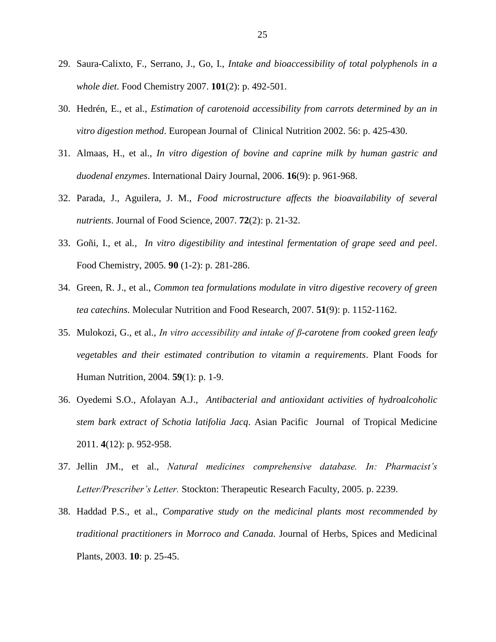- 29. Saura-Calixto, F., Serrano, J., Go, I., *Intake and bioaccessibility of total polyphenols in a whole diet*. Food Chemistry 2007. **101**(2): p. 492-501.
- 30. Hedrén, E., et al., *Estimation of carotenoid accessibility from carrots determined by an in vitro digestion method*. European Journal of Clinical Nutrition 2002. 56: p. 425-430.
- 31. Almaas, H., et al., *In vitro digestion of bovine and caprine milk by human gastric and duodenal enzymes*. International Dairy Journal, 2006. **16**(9): p. 961-968.
- 32. Parada, J., Aguilera, J. M., *Food microstructure affects the bioavailability of several nutrients*. Journal of Food Science, 2007. **72**(2): p. 21-32.
- 33. Goñi, I., et al*., In vitro digestibility and intestinal fermentation of grape seed and peel*. Food Chemistry, 2005. **90** (1-2): p. 281-286.
- 34. Green, R. J., et al., *Common tea formulations modulate in vitro digestive recovery of green tea catechins*. Molecular Nutrition and Food Research, 2007. **51**(9): p. 1152-1162.
- 35. Mulokozi, G., et al., *In vitro accessibility and intake of β-carotene from cooked green leafy vegetables and their estimated contribution to vitamin a requirements*. Plant Foods for Human Nutrition, 2004. **59**(1): p. 1-9.
- 36. Oyedemi S.O., Afolayan A.J., *Antibacterial and antioxidant activities of hydroalcoholic stem bark extract of Schotia latifolia Jacq*. Asian Pacific Journal of Tropical Medicine 2011. **4**(12): p. 952-958.
- 37. Jellin JM., et al., *Natural medicines comprehensive database. In: Pharmacist's Letter/Prescriber's Letter.* Stockton: Therapeutic Research Faculty, 2005. p. 2239.
- 38. Haddad P.S., et al., *Comparative study on the medicinal plants most recommended by traditional practitioners in Morroco and Canada*. Journal of Herbs, Spices and Medicinal Plants, 2003. **10**: p. 25-45.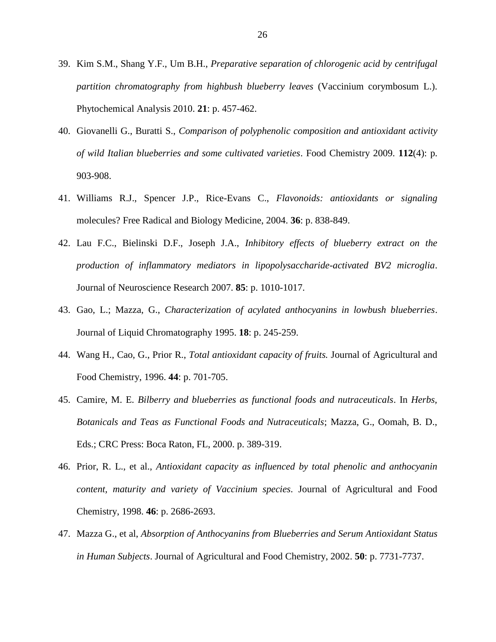- 39. Kim S.M., Shang Y.F., Um B.H., *Preparative separation of chlorogenic acid by centrifugal partition chromatography from highbush blueberry leaves* (Vaccinium corymbosum L.). Phytochemical Analysis 2010. **21**: p. 457-462.
- 40. Giovanelli G., Buratti S., *Comparison of polyphenolic composition and antioxidant activity of wild Italian blueberries and some cultivated varieties*. Food Chemistry 2009. **112**(4): p. 903-908.
- 41. Williams R.J., Spencer J.P., Rice-Evans C., *Flavonoids: antioxidants or signaling* molecules? Free Radical and Biology Medicine, 2004. **36**: p. 838-849.
- 42. Lau F.C., Bielinski D.F., Joseph J.A., *Inhibitory effects of blueberry extract on the production of inflammatory mediators in lipopolysaccharide-activated BV2 microglia*. Journal of Neuroscience Research 2007. **85**: p. 1010-1017.
- 43. Gao, L.; Mazza, G., *Characterization of acylated anthocyanins in lowbush blueberries*. Journal of Liquid Chromatography 1995. **18**: p. 245-259.
- 44. Wang H., Cao, G., Prior R., *Total antioxidant capacity of fruits.* Journal of Agricultural and Food Chemistry, 1996. **44**: p. 701-705.
- 45. Camire, M. E. *Bilberry and blueberries as functional foods and nutraceuticals*. In *Herbs, Botanicals and Teas as Functional Foods and Nutraceuticals*; Mazza, G., Oomah, B. D., Eds.; CRC Press: Boca Raton, FL, 2000. p. 389-319.
- 46. Prior, R. L., et al., *Antioxidant capacity as influenced by total phenolic and anthocyanin content, maturity and variety of Vaccinium species*. Journal of Agricultural and Food Chemistry, 1998. **46**: p. 2686-2693.
- 47. Mazza G., et al, *Absorption of Anthocyanins from Blueberries and Serum Antioxidant Status in Human Subjects*. Journal of Agricultural and Food Chemistry, 2002. **50**: p. 7731-7737.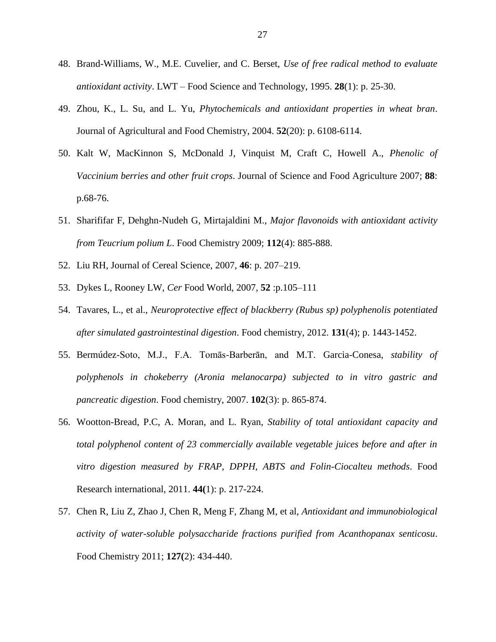- 48. Brand-Williams, W., M.E. Cuvelier, and C. Berset, *Use of free radical method to evaluate antioxidant activity*. LWT – Food Science and Technology, 1995. **28**(1): p. 25-30.
- 49. Zhou, K., L. Su, and L. Yu, *Phytochemicals and antioxidant properties in wheat bran*. Journal of Agricultural and Food Chemistry, 2004. **52**(20): p. 6108-6114.
- 50. Kalt W, MacKinnon S, McDonald J, Vinquist M, Craft C, Howell A., *Phenolic of Vaccinium berries and other fruit crops*. Journal of Science and Food Agriculture 2007; **88**: p.68-76.
- 51. Sharififar F, Dehghn-Nudeh G, Mirtajaldini M., *Major flavonoids with antioxidant activity from Teucrium polium L*. Food Chemistry 2009; **112**(4): 885-888.
- 52. Liu RH, Journal of Cereal Science, 2007, **46**: p. 207–219.
- 53. Dykes L, Rooney LW, *Cer* Food World, 2007, **52** :p.105–111
- 54. Tavares, L., et al., *Neuroprotective effect of blackberry (Rubus sp) polyphenolis potentiated after simulated gastrointestinal digestion*. Food chemistry, 2012. **131**(4); p. 1443-1452.
- 55. Bermúdez-Soto, M.J., F.A. Tomās-Barberān, and M.T. Garcia-Conesa, *stability of polyphenols in chokeberry (Aronia melanocarpa) subjected to in vitro gastric and pancreatic digestion*. Food chemistry, 2007. **102**(3): p. 865-874.
- 56. Wootton-Bread, P.C, A. Moran, and L. Ryan, *Stability of total antioxidant capacity and total polyphenol content of 23 commercially available vegetable juices before and after in vitro digestion measured by FRAP, DPPH, ABTS and Folin-Ciocalteu methods*. Food Research international, 2011. **44(**1): p. 217-224.
- 57. Chen R, Liu Z, Zhao J, Chen R, Meng F, Zhang M, et al, *Antioxidant and immunobiological activity of water-soluble polysaccharide fractions purified from Acanthopanax senticosu*. Food Chemistry 2011; **127(**2): 434-440.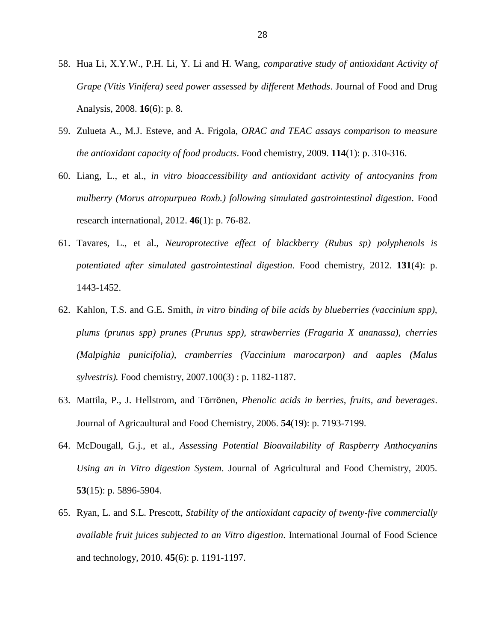- 58. Hua Li, X.Y.W., P.H. Li, Y. Li and H. Wang, *comparative study of antioxidant Activity of Grape (Vitis Vinifera) seed power assessed by different Methods*. Journal of Food and Drug Analysis, 2008. **16**(6): p. 8.
- 59. Zulueta A., M.J. Esteve, and A. Frigola, *ORAC and TEAC assays comparison to measure the antioxidant capacity of food products*. Food chemistry, 2009. **114**(1): p. 310-316.
- 60. Liang, L., et al., *in vitro bioaccessibility and antioxidant activity of antocyanins from mulberry (Morus atropurpuea Roxb.) following simulated gastrointestinal digestion*. Food research international, 2012. **46**(1): p. 76-82.
- 61. Tavares, L., et al., *Neuroprotective effect of blackberry (Rubus sp) polyphenols is potentiated after simulated gastrointestinal digestion*. Food chemistry, 2012. **131**(4): p. 1443-1452.
- 62. Kahlon, T.S. and G.E. Smith, *in vitro binding of bile acids by blueberries (vaccinium spp), plums (prunus spp) prunes (Prunus spp), strawberries (Fragaria X ananassa), cherries (Malpighia punicifolia), cramberries (Vaccinium marocarpon) and aaples (Malus sylvestris).* Food chemistry, 2007.100(3) : p. 1182-1187.
- 63. Mattila, P., J. Hellstrom, and Tӧrrӧnen, *Phenolic acids in berries, fruits, and beverages*. Journal of Agricaultural and Food Chemistry, 2006. **54**(19): p. 7193-7199.
- 64. McDougall, G.j., et al., *Assessing Potential Bioavailability of Raspberry Anthocyanins Using an in Vitro digestion System*. Journal of Agricultural and Food Chemistry, 2005. **53**(15): p. 5896-5904.
- 65. Ryan, L. and S.L. Prescott, *Stability of the antioxidant capacity of twenty-five commercially available fruit juices subjected to an Vitro digestion*. International Journal of Food Science and technology, 2010. **45**(6): p. 1191-1197.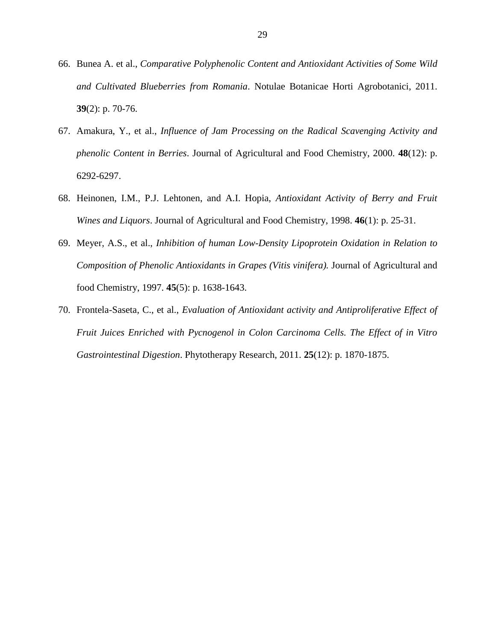- 66. Bunea A. et al., *Comparative Polyphenolic Content and Antioxidant Activities of Some Wild and Cultivated Blueberries from Romania*. Notulae Botanicae Horti Agrobotanici, 2011. **39**(2): p. 70-76.
- 67. Amakura, Y., et al., *Influence of Jam Processing on the Radical Scavenging Activity and phenolic Content in Berries*. Journal of Agricultural and Food Chemistry, 2000. **48**(12): p. 6292-6297.
- 68. Heinonen, I.M., P.J. Lehtonen, and A.I. Hopia, *Antioxidant Activity of Berry and Fruit Wines and Liquors*. Journal of Agricultural and Food Chemistry, 1998. **46**(1): p. 25-31.
- 69. Meyer, A.S., et al., *Inhibition of human Low-Density Lipoprotein Oxidation in Relation to Composition of Phenolic Antioxidants in Grapes (Vitis vinifera).* Journal of Agricultural and food Chemistry, 1997. **45**(5): p. 1638-1643.
- <span id="page-34-0"></span>70. Frontela-Saseta, C., et al., *Evaluation of Antioxidant activity and Antiproliferative Effect of Fruit Juices Enriched with Pycnogenol in Colon Carcinoma Cells. The Effect of in Vitro Gastrointestinal Digestion*. Phytotherapy Research, 2011. **25**(12): p. 1870-1875.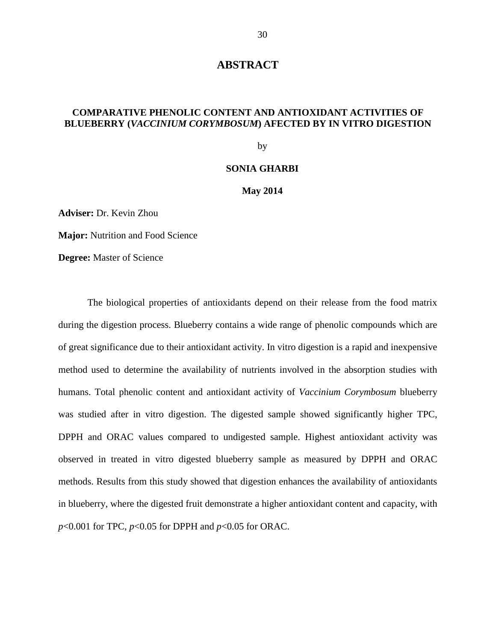## **ABSTRACT**

# **COMPARATIVE PHENOLIC CONTENT AND ANTIOXIDANT ACTIVITIES OF BLUEBERRY (***VACCINIUM CORYMBOSUM***) AFECTED BY IN VITRO DIGESTION**

by

#### **SONIA GHARBI**

#### **May 2014**

**Adviser:** Dr. Kevin Zhou

**Major:** Nutrition and Food Science

**Degree:** Master of Science

The biological properties of antioxidants depend on their release from the food matrix during the digestion process. Blueberry contains a wide range of phenolic compounds which are of great significance due to their antioxidant activity. In vitro digestion is a rapid and inexpensive method used to determine the availability of nutrients involved in the absorption studies with humans. Total phenolic content and antioxidant activity of *Vaccinium Corymbosum* blueberry was studied after in vitro digestion. The digested sample showed significantly higher TPC, DPPH and ORAC values compared to undigested sample. Highest antioxidant activity was observed in treated in vitro digested blueberry sample as measured by DPPH and ORAC methods. Results from this study showed that digestion enhances the availability of antioxidants in blueberry, where the digested fruit demonstrate a higher antioxidant content and capacity, with *p*<0.001 for TPC, *p*<0.05 for DPPH and *p*<0.05 for ORAC.